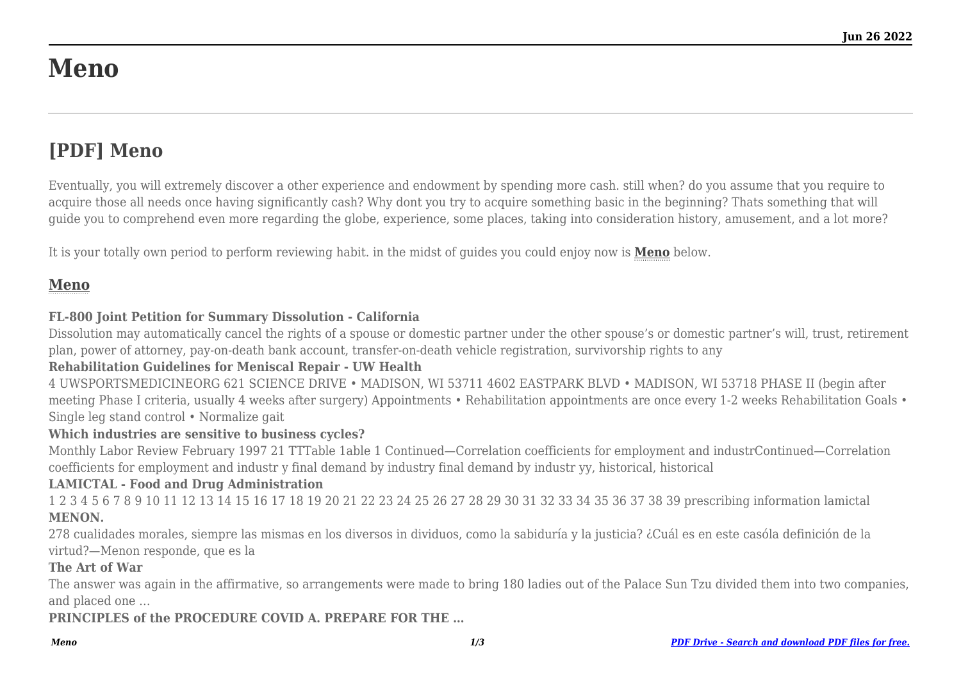# **Meno**

## **[PDF] Meno**

Eventually, you will extremely discover a other experience and endowment by spending more cash. still when? do you assume that you require to acquire those all needs once having significantly cash? Why dont you try to acquire something basic in the beginning? Thats something that will guide you to comprehend even more regarding the globe, experience, some places, taking into consideration history, amusement, and a lot more?

It is your totally own period to perform reviewing habit. in the midst of guides you could enjoy now is **[Meno](http://werefamily.us)** below.

### **[Meno](http://werefamily.us/Meno.pdf)**

#### **FL-800 Joint Petition for Summary Dissolution - California**

Dissolution may automatically cancel the rights of a spouse or domestic partner under the other spouse's or domestic partner's will, trust, retirement plan, power of attorney, pay-on-death bank account, transfer-on-death vehicle registration, survivorship rights to any

#### **Rehabilitation Guidelines for Meniscal Repair - UW Health**

4 UWSPORTSMEDICINEORG 621 SCIENCE DRIVE • MADISON, WI 53711 4602 EASTPARK BLVD • MADISON, WI 53718 PHASE II (begin after meeting Phase I criteria, usually 4 weeks after surgery) Appointments • Rehabilitation appointments are once every 1-2 weeks Rehabilitation Goals • Single leg stand control • Normalize gait

#### **Which industries are sensitive to business cycles?**

Monthly Labor Review February 1997 21 TTTable 1able 1 Continued—Correlation coefficients for employment and industrContinued—Correlation coefficients for employment and industr y final demand by industry final demand by industr yy, historical, historical

#### **LAMICTAL - Food and Drug Administration**

1 2 3 4 5 6 7 8 9 10 11 12 13 14 15 16 17 18 19 20 21 22 23 24 25 26 27 28 29 30 31 32 33 34 35 36 37 38 39 prescribing information lamictal **MENON.**

278 cualidades morales, siempre las mismas en los diversos in dividuos, como la sabiduría y la justicia? ¿Cuál es en este casóla definición de la virtud?—Menon responde, que es la

#### **The Art of War**

The answer was again in the affirmative, so arrangements were made to bring 180 ladies out of the Palace Sun Tzu divided them into two companies, and placed one …

**PRINCIPLES of the PROCEDURE COVID A. PREPARE FOR THE …**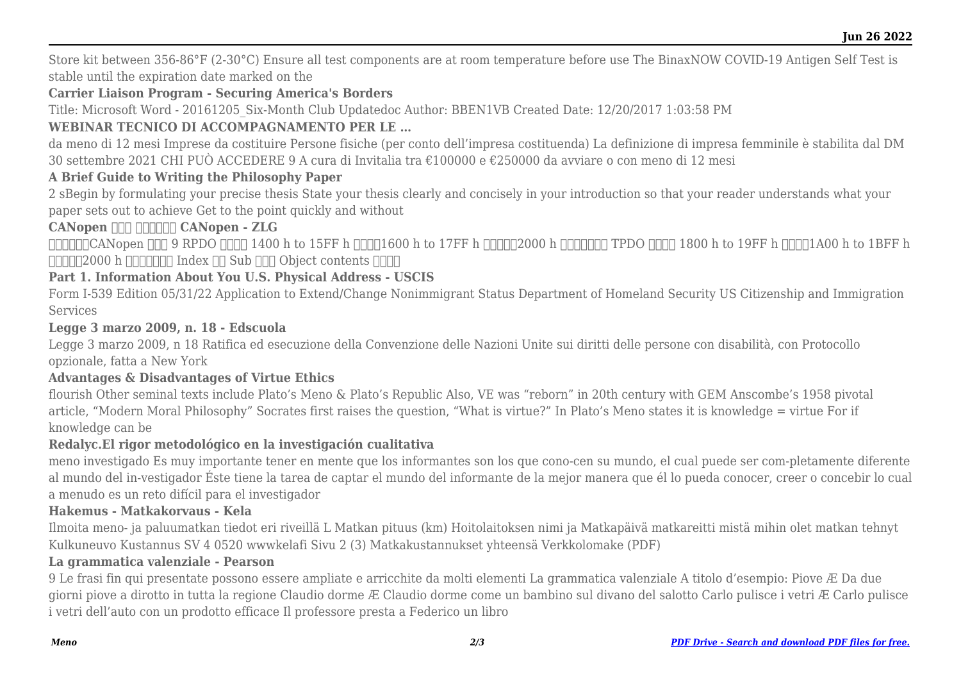Store kit between 356-86°F (2-30°C) Ensure all test components are at room temperature before use The BinaxNOW COVID-19 Antigen Self Test is stable until the expiration date marked on the

#### **Carrier Liaison Program - Securing America's Borders**

Title: Microsoft Word - 20161205\_Six-Month Club Updatedoc Author: BBEN1VB Created Date: 12/20/2017 1:03:58 PM

#### **WEBINAR TECNICO DI ACCOMPAGNAMENTO PER LE …**

da meno di 12 mesi Imprese da costituire Persone fisiche (per conto dell'impresa costituenda) La definizione di impresa femminile è stabilita dal DM 30 settembre 2021 CHI PUÒ ACCEDERE 9 A cura di Invitalia tra €100000 e €250000 da avviare o con meno di 12 mesi

#### **A Brief Guide to Writing the Philosophy Paper**

2 sBegin by formulating your precise thesis State your thesis clearly and concisely in your introduction so that your reader understands what your paper sets out to achieve Get to the point quickly and without

#### **CANopen HIH HIHHH CANopen - ZLG**

德国工程师的CANopen 备忘录 9 RPDO 通讯参数 1400 h to 15FF h 映射参数1600 h to 17FF h 数据存放为2000 h 之后厂商自定义 TPDO 通讯参数 1800 h to 19FF h 映射参数1A00 h to 1BFF h  $\Pi$  $\Pi$  $\Pi$  $2000$  h  $\Pi$  $\Pi$  $\Pi$  $\Pi$  Index  $\Pi$  $S$ ub  $\Pi$  $\Pi$  $O$ bject contents  $\Pi$  $\Pi$  $\Pi$ 

#### **Part 1. Information About You U.S. Physical Address - USCIS**

Form I-539 Edition 05/31/22 Application to Extend/Change Nonimmigrant Status Department of Homeland Security US Citizenship and Immigration Services

#### **Legge 3 marzo 2009, n. 18 - Edscuola**

Legge 3 marzo 2009, n 18 Ratifica ed esecuzione della Convenzione delle Nazioni Unite sui diritti delle persone con disabilità, con Protocollo opzionale, fatta a New York

#### **Advantages & Disadvantages of Virtue Ethics**

flourish Other seminal texts include Plato's Meno & Plato's Republic Also, VE was "reborn" in 20th century with GEM Anscombe's 1958 pivotal article, "Modern Moral Philosophy" Socrates first raises the question, "What is virtue?" In Plato's Meno states it is knowledge = virtue For if knowledge can be

#### **Redalyc.El rigor metodológico en la investigación cualitativa**

meno investigado Es muy importante tener en mente que los informantes son los que cono-cen su mundo, el cual puede ser com-pletamente diferente al mundo del in-vestigador Éste tiene la tarea de captar el mundo del informante de la mejor manera que él lo pueda conocer, creer o concebir lo cual a menudo es un reto difícil para el investigador

#### **Hakemus - Matkakorvaus - Kela**

Ilmoita meno- ja paluumatkan tiedot eri riveillä L Matkan pituus (km) Hoitolaitoksen nimi ja Matkapäivä matkareitti mistä mihin olet matkan tehnyt Kulkuneuvo Kustannus SV 4 0520 wwwkelafi Sivu 2 (3) Matkakustannukset yhteensä Verkkolomake (PDF)

#### **La grammatica valenziale - Pearson**

9 Le frasi fin qui presentate possono essere ampliate e arricchite da molti elementi La grammatica valenziale A titolo d'esempio: Piove Æ Da due giorni piove a dirotto in tutta la regione Claudio dorme Æ Claudio dorme come un bambino sul divano del salotto Carlo pulisce i vetri Æ Carlo pulisce i vetri dell'auto con un prodotto efficace Il professore presta a Federico un libro